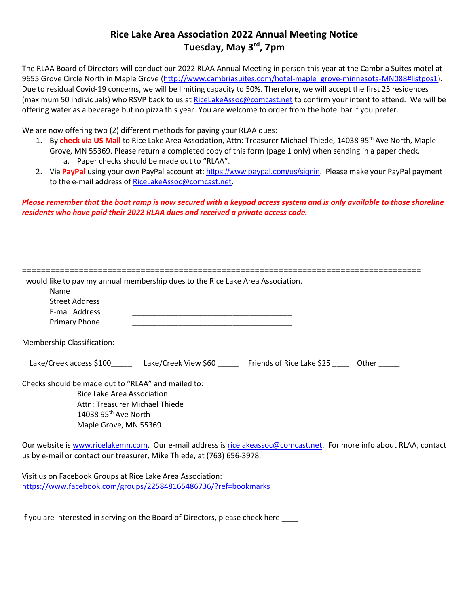## **Rice Lake Area Association 2022 Annual Meeting Notice Tuesday, May 3rd, 7pm**

The RLAA Board of Directors will conduct our 2022 RLAA Annual Meeting in person this year at the Cambria Suites motel at 9655 Grove Circle North in Maple Grove [\(http://www.cambriasuites.com/hotel-maple\\_grove-minnesota-MN088#listpos1\)](http://www.cambriasuites.com/hotel-maple_grove-minnesota-MN088#listpos1). Due to residual Covid-19 concerns, we will be limiting capacity to 50%. Therefore, we will accept the first 25 residences (maximum 50 individuals) who RSVP back to us at [RiceLakeAssoc@comcast.net](mailto:RiceLakeAssoc@comcast.net) to confirm your intent to attend. We will be offering water as a beverage but no pizza this year. You are welcome to order from the hotel bar if you prefer.

We are now offering two (2) different methods for paying your RLAA dues:

- 1. By **check via US Mail** to Rice Lake Area Association, Attn: Treasurer Michael Thiede, 14038 95th Ave North, Maple Grove, MN 55369. Please return a completed copy of this form (page 1 only) when sending in a paper check. a. Paper checks should be made out to "RLAA".
- 2. Via PayPal using your own PayPal account at: <https://www.paypal.com/us/signin>. Please make your PayPal payment to the e-mail address of [RiceLakeAssoc@comcast.net.](mailto:RiceLakeAssoc@comcast.net)

*Please remember that the boat ramp is now secured with a keypad access system and is only available to those shoreline residents who have paid their 2022 RLAA dues and received a private access code.* 

| <b>Name</b>                                        |                                                                              |  |
|----------------------------------------------------|------------------------------------------------------------------------------|--|
| <b>Street Address</b><br>E-mail Address            |                                                                              |  |
| Primary Phone                                      |                                                                              |  |
| Membership Classification:                         |                                                                              |  |
|                                                    | Lake/Creek access \$100 Lake/Creek View \$60 Friends of Rice Lake \$25 Other |  |
| Checks should be made out to "RLAA" and mailed to: |                                                                              |  |
| Rice Lake Area Association                         |                                                                              |  |
| Attn: Treasurer Michael Thiede                     |                                                                              |  |
| 14038 95 <sup>th</sup> Ave North                   |                                                                              |  |
| Maple Grove, MN 55369                              |                                                                              |  |

Visit us on Facebook Groups at Rice Lake Area Association: <https://www.facebook.com/groups/225848165486736/?ref=bookmarks>

If you are interested in serving on the Board of Directors, please check here \_\_\_\_